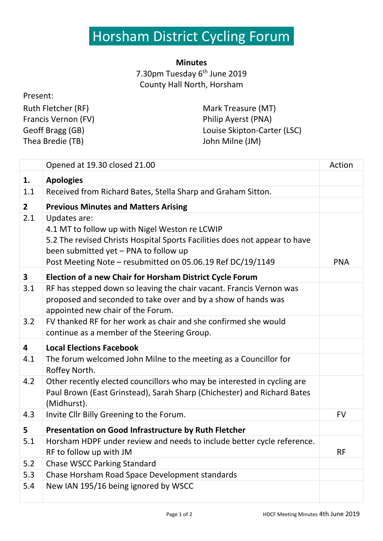## Horsham District Cycling Forum

## **Minutes** 7.30pm Tuesday 6<sup>th</sup> June 2019 County Hall North, Horsham

| Present:            |                             |
|---------------------|-----------------------------|
| Ruth Fletcher (RF)  | Mark Treasure (MT)          |
| Francis Vernon (FV) | Philip Ayerst (PNA)         |
| Geoff Bragg (GB)    | Louise Skipton-Carter (LSC) |
| Thea Bredie (TB)    | John Milne (JM)             |
|                     |                             |

|              | Opened at 19.30 closed 21.00                                                                                                                                                                                                                        | Action     |
|--------------|-----------------------------------------------------------------------------------------------------------------------------------------------------------------------------------------------------------------------------------------------------|------------|
| 1.           | <b>Apologies</b>                                                                                                                                                                                                                                    |            |
| 1.1          | Received from Richard Bates, Stella Sharp and Graham Sitton.                                                                                                                                                                                        |            |
| $\mathbf{2}$ | <b>Previous Minutes and Matters Arising</b>                                                                                                                                                                                                         |            |
| 2.1          | Updates are:<br>4.1 MT to follow up with Nigel Weston re LCWIP<br>5.2 The revised Christs Hospital Sports Facilities does not appear to have<br>been submitted yet - PNA to follow up<br>Post Meeting Note - resubmitted on 05.06.19 Ref DC/19/1149 | <b>PNA</b> |
| $\mathbf{3}$ | <b>Election of a new Chair for Horsham District Cycle Forum</b>                                                                                                                                                                                     |            |
| 3.1          | RF has stepped down so leaving the chair vacant. Francis Vernon was<br>proposed and seconded to take over and by a show of hands was<br>appointed new chair of the Forum.                                                                           |            |
| 3.2          | FV thanked RF for her work as chair and she confirmed she would<br>continue as a member of the Steering Group.                                                                                                                                      |            |
| 4            | <b>Local Elections Facebook</b>                                                                                                                                                                                                                     |            |
| 4.1          | The forum welcomed John Milne to the meeting as a Councillor for<br>Roffey North.                                                                                                                                                                   |            |
| 4.2          | Other recently elected councillors who may be interested in cycling are<br>Paul Brown (East Grinstead), Sarah Sharp (Chichester) and Richard Bates<br>(Midhurst).                                                                                   |            |
| 4.3          | Invite Cllr Billy Greening to the Forum.                                                                                                                                                                                                            | <b>FV</b>  |
| 5            | Presentation on Good Infrastructure by Ruth Fletcher                                                                                                                                                                                                |            |
| 5.1          | Horsham HDPF under review and needs to include better cycle reference.<br>RF to follow up with JM                                                                                                                                                   | <b>RF</b>  |
| 5.2          | <b>Chase WSCC Parking Standard</b>                                                                                                                                                                                                                  |            |
| 5.3          | Chase Horsham Road Space Development standards                                                                                                                                                                                                      |            |
| 5.4          | New IAN 195/16 being ignored by WSCC                                                                                                                                                                                                                |            |